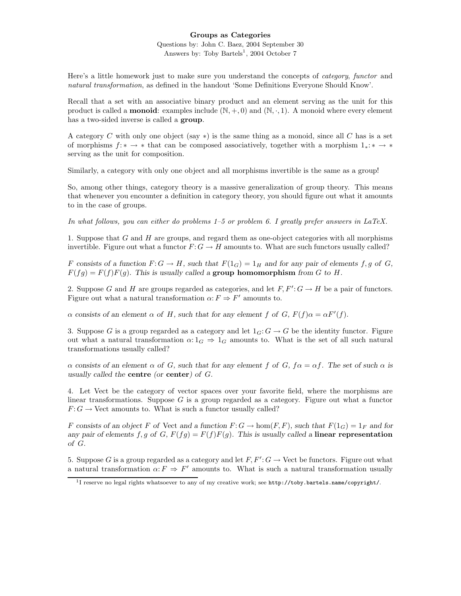## Groups as Categories

Questions by: John C. Baez, 2004 September 30 Answers by: Toby Bartels<sup>1</sup>, 2004 October 7

Here's a little homework just to make sure you understand the concepts of *category*, *functor* and natural transformation, as defined in the handout 'Some Definitions Everyone Should Know'.

Recall that a set with an associative binary product and an element serving as the unit for this product is called a **monoid**: examples include  $(\mathbb{N}, +, 0)$  and  $(\mathbb{N}, \cdot, 1)$ . A monoid where every element has a two-sided inverse is called a **group**.

A category C with only one object (say  $*$ ) is the same thing as a monoid, since all C has is a set of morphisms  $f: * \to *$  that can be composed associatively, together with a morphism  $1_*: * \to *$ serving as the unit for composition.

Similarly, a category with only one object and all morphisms invertible is the same as a group!

So, among other things, category theory is a massive generalization of group theory. This means that whenever you encounter a definition in category theory, you should figure out what it amounts to in the case of groups.

In what follows, you can either do problems 1–5 or problem 6. I greatly prefer answers in LaTeX.

1. Suppose that  $G$  and  $H$  are groups, and regard them as one-object categories with all morphisms invertible. Figure out what a functor  $F: G \to H$  amounts to. What are such functors usually called?

F consists of a function  $F: G \to H$ , such that  $F(1_G) = 1_H$  and for any pair of elements f, g of G,  $F(fg) = F(f)F(g)$ . This is usually called a **group homomorphism** from G to H.

2. Suppose G and H are groups regarded as categories, and let  $F, F': G \to H$  be a pair of functors. Figure out what a natural transformation  $\alpha: F \to F'$  amounts to.

 $\alpha$  consists of an element  $\alpha$  of H, such that for any element f of G,  $F(f)\alpha = \alpha F'(f)$ .

3. Suppose G is a group regarded as a category and let  $1_G: G \to G$  be the identity functor. Figure out what a natural transformation  $\alpha: 1_G \Rightarrow 1_G$  amounts to. What is the set of all such natural transformations usually called?

α consists of an element α of G, such that for any element f of G,  $f\alpha = \alpha f$ . The set of such α is usually called the centre (or center) of G.

4. Let Vect be the category of vector spaces over your favorite field, where the morphisms are linear transformations. Suppose  $G$  is a group regarded as a category. Figure out what a functor  $F: G \to$  Vect amounts to. What is such a functor usually called?

F consists of an object F of Vect and a function  $F: G \to \text{hom}(F, F)$ , such that  $F(1_G) = 1_F$  and for any pair of elements f, g of G,  $F(fg) = F(f)F(g)$ . This is usually called a linear representation of G.

5. Suppose G is a group regarded as a category and let  $F, F': G \to \text{Vect}$  be functors. Figure out what a natural transformation  $\alpha: F \Rightarrow F'$  amounts to. What is such a natural transformation usually

<sup>&</sup>lt;sup>1</sup>I reserve no legal rights whatsoever to any of my creative work; see http://toby.bartels.name/copyright/.